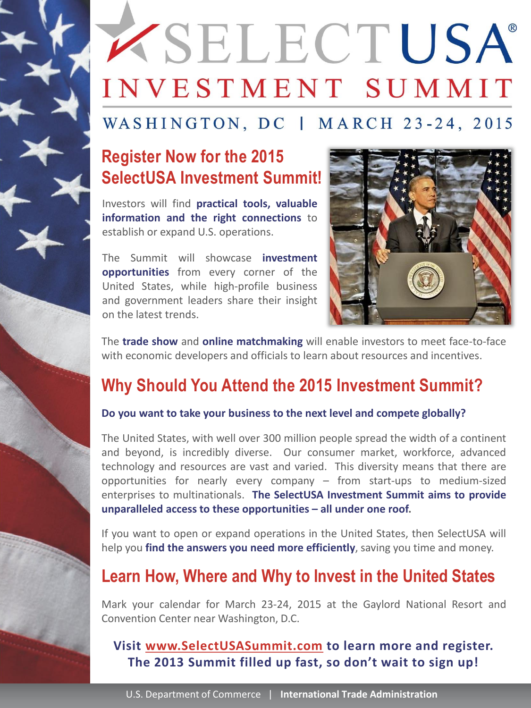## **EXPENDENT USA®** INVESTMENT SUMMIT

## WASHINGTON, DC | MARCH 23-24, 2015

## **Register Now for the 2015 SelectUSA Investment Summit!**

Investors will find **practical tools, valuable information and the right connections** to establish or expand U.S. operations.

The Summit will showcase **investment opportunities** from every corner of the United States, while high-profile business and government leaders share their insight on the latest trends.



The **trade show** and **online matchmaking** will enable investors to meet face-to-face with economic developers and officials to learn about resources and incentives.

## **Why Should You Attend the 2015 Investment Summit?**

#### **Do you want to take your business to the next level and compete globally?**

The United States, with well over 300 million people spread the width of a continent and beyond, is incredibly diverse. Our consumer market, workforce, advanced technology and resources are vast and varied. This diversity means that there are opportunities for nearly every company – from start-ups to medium-sized enterprises to multinationals. **The SelectUSA Investment Summit aims to provide unparalleled access to these opportunities – all under one roof.**

If you want to open or expand operations in the United States, then SelectUSA will help you **find the answers you need more efficiently**, saving you time and money.

## **Learn How, Where and Why to Invest in the United States**

Mark your calendar for March 23-24, 2015 at the Gaylord National Resort and Convention Center near Washington, D.C.

#### **Visit www.SelectUSASummit.com to learn more and register. The 2013 Summit filled up fast, so don't wait to sign up!**